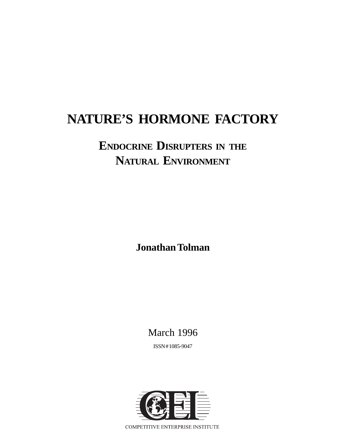# **NATURE'S HORMONE FACTORY**

# **ENDOCRINE DISRUPTERS IN THE NATURAL ENVIRONMENT**

**Jonathan Tolman**

March 1996

ISSN # 1085-9047

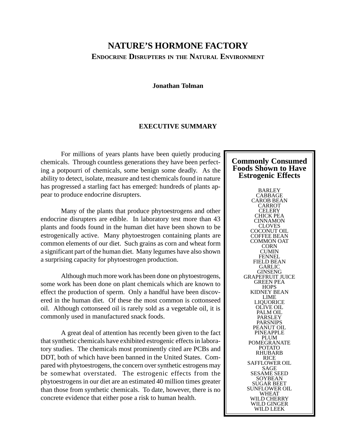# **NATURE'S HORMONE FACTORY ENDOCRINE DISRUPTERS IN THE NATURAL ENVIRONMENT**

#### **Jonathan Tolman**

#### **EXECUTIVE SUMMARY**

For millions of years plants have been quietly producing chemicals. Through countless generations they have been perfecting a potpourri of chemicals, some benign some deadly. As the ability to detect, isolate, measure and test chemicals found in nature has progressed a starling fact has emerged: hundreds of plants appear to produce endocrine disrupters.

Many of the plants that produce phytoestrogens and other endocrine disrupters are edible. In laboratory test more than 43 plants and foods found in the human diet have been shown to be estrogenically active. Many phytoestrogen containing plants are common elements of our diet. Such grains as corn and wheat form a significant part of the human diet. Many legumes have also shown a surprising capacity for phytoestrogen production.

Although much more work has been done on phytoestrogens, some work has been done on plant chemicals which are known to effect the production of sperm. Only a handful have been discovered in the human diet. Of these the most common is cottonseed oil. Although cottonseed oil is rarely sold as a vegetable oil, it is commonly used in manufactured snack foods.

A great deal of attention has recently been given to the fact that synthetic chemicals have exhibited estrogenic effects in laboratory studies. The chemicals most prominently cited are PCBs and DDT, both of which have been banned in the United States. Compared with phytoestrogens, the concern over synthetic estrogens may be somewhat overstated. The estrogenic effects from the phytoestrogens in our diet are an estimated 40 million times greater than those from synthetic chemicals. To date, however, there is no concrete evidence that either pose a risk to human health.

#### **Commonly Consumed Foods Shown to Have Estrogenic Effects**

BARLEY CABBAGE CAROB BEAN CARROT **CELERY** CHICK PEA **CINNAMON** CLOVES COCONUT OIL COFFEE BEAN COMMON OAT CORN **CUMIN FENNEL** FIELD BEAN GARLIC GINSENG GRAPEFRUIT JUICE GREEN PEA **HOPS** KIDNEY BEAN LIME LIQUORICE OLIVE OIL PALM OIL PARSLEY PARSNIPS PEANUT OIL PINEAPPLE PLUM POMEGRANATE POTATO RHUBARB RICE SAFFLOWER OIL SAGE SESAME SEED **SOYBEAN** SUGAR BEET SUNFLOWER OIL WHEAT WILD CHERRY WILD GINGER WILD LEEK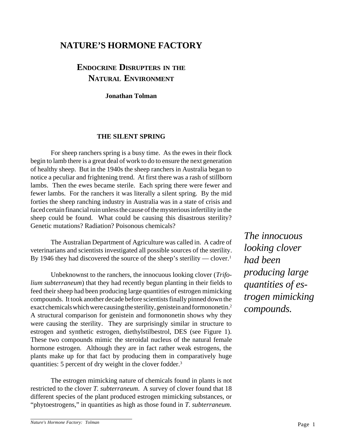# **NATURE'S HORMONE FACTORY**

# **ENDOCRINE DISRUPTERS IN THE NATURAL ENVIRONMENT**

**Jonathan Tolman**

#### **THE SILENT SPRING**

For sheep ranchers spring is a busy time. As the ewes in their flock begin to lamb there is a great deal of work to do to ensure the next generation of healthy sheep. But in the 1940s the sheep ranchers in Australia began to notice a peculiar and frightening trend. At first there was a rash of stillborn lambs. Then the ewes became sterile. Each spring there were fewer and fewer lambs. For the ranchers it was literally a silent spring. By the mid forties the sheep ranching industry in Australia was in a state of crisis and faced certain financial ruin unless the cause of the mysterious infertility in the sheep could be found. What could be causing this disastrous sterility? Genetic mutations? Radiation? Poisonous chemicals?

The Australian Department of Agriculture was called in. A cadre of veterinarians and scientists investigated all possible sources of the sterility. By 1946 they had discovered the source of the sheep's sterility — clover.<sup>1</sup>

Unbeknownst to the ranchers, the innocuous looking clover (*Trifolium subterraneum*) that they had recently begun planting in their fields to feed their sheep had been producing large quantities of estrogen mimicking compounds. It took another decade before scientists finally pinned down the exact chemicals which were causing the sterility, genistein and formononetin.2 A structural comparison for genistein and formononetin shows why they were causing the sterility. They are surprisingly similar in structure to estrogen and synthetic estrogen, diethylstilbestrol, DES (see Figure 1). These two compounds mimic the steroidal nucleus of the natural female hormone estrogen. Although they are in fact rather weak estrogens, the plants make up for that fact by producing them in comparatively huge quantities: 5 percent of dry weight in the clover fodder.3

The estrogen mimicking nature of chemicals found in plants is not restricted to the clover *T. subterraneum*. A survey of clover found that 18 different species of the plant produced estrogen mimicking substances, or "phytoestrogens," in quantities as high as those found in *T. subterraneum*.

*The innocuous looking clover had been producing large quantities of estrogen mimicking compounds.*

Page 1 *Nature's Hormone Factory: Tolman*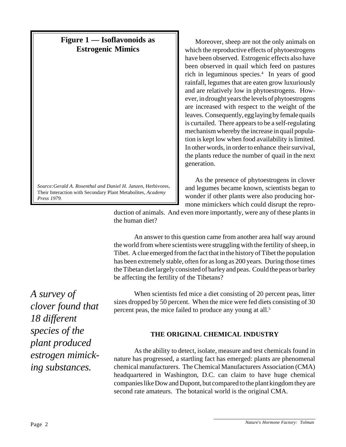*Source:Gerald A. Rosenthal and Daniel H. Janzen,* Herbivores, Their Interaction with Secondary Plant Metabolites*, Academy Press 1979.*

Moreover, sheep are not the only animals on which the reproductive effects of phytoestrogens have been observed. Estrogenic effects also have been observed in quail which feed on pastures rich in leguminous species.4 In years of good rainfall, legumes that are eaten grow luxuriously and are relatively low in phytoestrogens. However, in drought years the levels of phytoestrogens are increased with respect to the weight of the leaves. Consequently, egg laying by female quails is curtailed. There appears to be a self-regulating mechanism whereby the increase in quail population is kept low when food availability is limited. In other words, in order to enhance their survival, the plants reduce the number of quail in the next generation.

As the presence of phytoestrogens in clover and legumes became known, scientists began to wonder if other plants were also producing hormone mimickers which could disrupt the repro-

duction of animals. And even more importantly, were any of these plants in the human diet?

An answer to this question came from another area half way around the world from where scientists were struggling with the fertility of sheep, in Tibet. A clue emerged from the fact that in the history of Tibet the population has been extremely stable, often for as long as 200 years. During those times the Tibetan diet largely consisted of barley and peas. Could the peas or barley be affecting the fertility of the Tibetans?

*A survey of clover found that 18 different species of the plant produced estrogen mimicking substances.*

When scientists fed mice a diet consisting of 20 percent peas, litter sizes dropped by 50 percent. When the mice were fed diets consisting of 30 percent peas, the mice failed to produce any young at all.<sup>5</sup>

# **THE ORIGINAL CHEMICAL INDUSTRY**

As the ability to detect, isolate, measure and test chemicals found in nature has progressed, a startling fact has emerged: plants are phenomenal chemical manufacturers. The Chemical Manufacturers Association (CMA) headquartered in Washington, D.C. can claim to have huge chemical companies like Dow and Dupont, but compared to the plant kingdom they are second rate amateurs. The botanical world is the original CMA.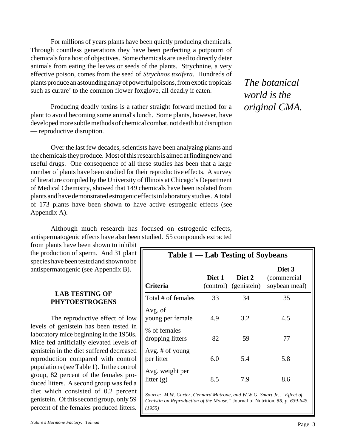For millions of years plants have been quietly producing chemicals. Through countless generations they have been perfecting a potpourri of chemicals for a host of objectives. Some chemicals are used to directly deter animals from eating the leaves or seeds of the plants. Strychnine, a very effective poison, comes from the seed of *Strychnos toxifera*. Hundreds of plants produce an astounding array of powerful poisons, from exotic tropicals such as curare' to the common flower foxglove, all deadly if eaten.

Producing deadly toxins is a rather straight forward method for a plant to avoid becoming some animal's lunch. Some plants, however, have developed more subtle methods of chemical combat, not death but disruption — reproductive disruption.

Over the last few decades, scientists have been analyzing plants and the chemicals they produce. Most of this research is aimed at finding new and useful drugs. One consequence of all these studies has been that a large number of plants have been studied for their reproductive effects. A survey of literature compiled by the University of Illinois at Chicago's Department of Medical Chemistry, showed that 149 chemicals have been isolated from plants and have demonstrated estrogenic effects in laboratory studies. A total of 173 plants have been shown to have active estrogenic effects (see Appendix A).

Although much research has focused on estrogenic effects, antispermatogenic effects have also been studied. 55 compounds extracted

from plants have been shown to inhibit the production of sperm. And 31 plant species have been tested and shown to be antispermatogenic (see Appendix B).

## **LAB TESTING OF PHYTOESTROGENS**

The reproductive effect of low levels of genistein has been tested in laboratory mice beginning in the 1950s. Mice fed artificially elevated levels of genistein in the diet suffered decreased reproduction compared with control populations (see Table 1). In the control group, 82 percent of the females produced litters. A second group was fed a diet which consisted of 0.2 percent genistein. Of this second group, only 59 percent of the females produced litters.

*The botanical world is the original CMA.*

| Table 1 — Lab Testing of Soybeans                                                                                                                                 |        |                                 |                                         |  |
|-------------------------------------------------------------------------------------------------------------------------------------------------------------------|--------|---------------------------------|-----------------------------------------|--|
| Criteria                                                                                                                                                          | Diet 1 | Diet 2<br>(control) (genistein) | Diet 3<br>(commercial)<br>soybean meal) |  |
| Total # of females                                                                                                                                                | 33     | 34                              | 35                                      |  |
| Avg. of<br>young per female                                                                                                                                       | 4.9    | 3.2                             | 4.5                                     |  |
| % of females<br>dropping litters                                                                                                                                  | 82     | 59                              | 77                                      |  |
| Avg. # of young<br>per litter                                                                                                                                     | 6.0    | 5.4                             | 5.8                                     |  |
| Avg. weight per<br>litter $(g)$                                                                                                                                   | 8.5    | 7.9                             | 8.6                                     |  |
| Source: M.W. Carter, Gennard Matrone, and W.W.G. Smart Jr., "Effect of<br>Genistin on Reproduction of the Mouse," Journal of Nutrition, 55, p. 639-645.<br>(1955) |        |                                 |                                         |  |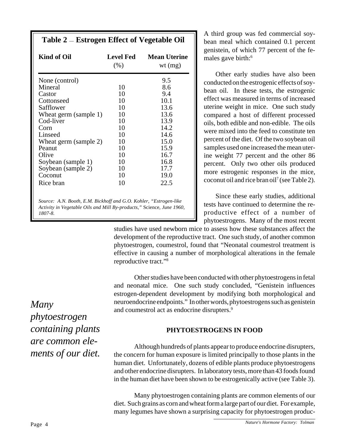| Kind of Oil           | <b>Level Fed</b><br>(% ) | <b>Mean Uterine</b><br>wt $(mg)$ |
|-----------------------|--------------------------|----------------------------------|
| None (control)        |                          | 9.5                              |
| Mineral               | 10                       | 8.6                              |
| Castor                | 10                       | 9.4                              |
| Cottonseed            | 10                       | 10.1                             |
| Safflower             | 10                       | 13.6                             |
| Wheat germ (sample 1) | 10                       | 13.6                             |
| Cod-liver             | 10                       | 13.9                             |
| Corn                  | 10                       | 14.2                             |
| Linseed               | 10                       | 14.6                             |
| Wheat germ (sample 2) | 10                       | 15.0                             |
| Peanut                | 10                       | 15.9                             |
| Olive                 | 10                       | 16.7                             |
| Soybean (sample 1)    | 10                       | 16.8                             |
| Soybean (sample 2)    | 10                       | 17.7                             |
| Coconut               | 10                       | 19.0                             |
| Rice bran             | 10                       | 22.5                             |

*Activity in Vegetable Oils and Mill By-products,"* Science*, June 1960, 1807-8.*

A third group was fed commercial soybean meal which contained 0.1 percent genistein, of which 77 percent of the females gave birth:<sup>6</sup>

Other early studies have also been conducted on the estrogenic effects of soybean oil. In these tests, the estrogenic effect was measured in terms of increased uterine weight in mice. One such study compared a host of different processed oils, both edible and non-edible. The oils were mixed into the feed to constitute ten percent of the diet. Of the two soybean oil samples used one increased the mean uterine weight 77 percent and the other 86 percent. Only two other oils produced more estrogenic responses in the mice, coconut oil and rice bran oil7 (see Table 2).

Since these early studies, additional tests have continued to determine the reproductive effect of a number of phytoestrogens. Many of the most recent

studies have used newborn mice to assess how these substances affect the development of the reproductive tract. One such study, of another common phytoestrogen, coumestrol, found that "Neonatal coumestrol treatment is effective in causing a number of morphological alterations in the female reproductive tract."8

Other studies have been conducted with other phytoestrogens in fetal and neonatal mice. One such study concluded, "Genistein influences estrogen-dependent development by modifying both morphological and neuroendocrine endpoints." In other words, phytoestrogens such as genistein and coumestrol act as endocrine disrupters.<sup>9</sup>

### **PHYTOESTROGENS IN FOOD**

Although hundreds of plants appear to produce endocrine disrupters, the concern for human exposure is limited principally to those plants in the human diet. Unfortunately, dozens of edible plants produce phytoestrogens and other endocrine disrupters. In laboratory tests, more than 43 foods found in the human diet have been shown to be estrogenically active (see Table 3).

Many phytoestrogen containing plants are common elements of our diet. Such grains as corn and wheat form a large part of our diet. For example, many legumes have shown a surprising capacity for phytoestrogen produc-

*Many phytoestrogen containing plants are common elements of our diet.*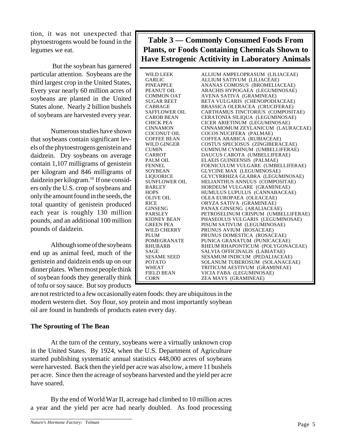tion, it was not unexpected that phytoestrogens would be found in the legumes we eat.

 But the soybean has garnered particular attention. Soybeans are the third largest crop in the United States, Every year nearly 60 million acres of soybeans are planted in the United States alone. Nearly 2 billion bushels of soybeans are harvested every year.

Numerous studies have shown that soybeans contain significant levels of the phytoestrogens genistein and daidzein. Dry soybeans on average contain 1,107 milligrams of genistein per kilogram and 846 milligrams of daidzein per kilogram.10 If one considers only the U.S. crop of soybeans and only the amount found in the seeds, the total quantity of genistein produced each year is roughly 130 million pounds, and an additional 100 million pounds of daidzein.

Although some of the soybeans end up as animal feed, much of the genistein and daidzein ends up on our dinner plates. When most people think of soybean foods they generally think of tofu or soy sauce. But soy products

**Table 3 — Commonly Consumed Foods From Plants, or Foods Containing Chemicals Shown to Have Estrogenic Actitivity in Laboratory Animals**

| WILD LEEK                                              | ALLIUM AMPELOPRASUM (LILIACEAE)     |
|--------------------------------------------------------|-------------------------------------|
| GARLIC                                                 | ALLIUM SATIVUM (LILIACEAE)          |
| PINEAPPLE                                              | ANANAS COMOSUS (BROMELIACEAE)       |
| PEANUT OIL                                             | ARACHIS HYPOGAEA (LEGUMINOSAE)      |
| COMMON OAT                                             | AVENA SATIVA (GRAMINEAE)            |
| SUGAR BEET                                             | BETA VULGARIS (CHENOPODIACEAE)      |
| CABBAGE                                                | BRASSICA OLERACEA (CRUCIFERAE)      |
| SAFFLOWER OIL                                          | CARTHAMUS TINCTORIUS (COMPOSITAE)   |
| CAROB BEAN                                             | CERATONIA SILIQUA (LEGUMINOSAE)     |
| CHICK PEA                                              | CICER ARIETINUM (LEGUMINOSAE)       |
| CINNAMON                                               | CINNAMOMUM ZEYLANICUM (LAURACEAE)   |
| COCONUT OIL                                            | COCOS NUCIFERA (PALMAE)             |
| <b>COFFEE BEAN</b>                                     | COFFEA ARABICA (RUBIACEAE)          |
| WILD GINGER                                            | COSTUS SPECIOSUS (ZINGIBERACEAE)    |
| CUMIN                                                  | CUMINUM CYMINUM (UMBELLIFERAE)      |
| CARROT                                                 | DAUCUS CAROTA (UMBELLIFERAE)        |
| PALM OIL                                               | ELAEIS GUINEENSIS (PALMAE)          |
| <b>FENNEL</b>                                          | FOENICULUM VULGARE (UMBELLIFERAE)   |
| SOYBEAN                                                | <b>GLYCINE MAX (LEGUMINOSAE)</b>    |
| LIOUORICE                                              | GLYCYRRHIZA GLABRA (LEGUMINOSAE)    |
| SUNFLOWER OIL                                          | HELIANTHUS ANNUUS (COMPOSITAE)      |
| BARLEY                                                 | HORDEUM VULGARE (GRAMINEAE)         |
| HOPS                                                   | HUMULUS LUPULUS (CANNABACEAE)       |
| OLIVE OIL<br>RICE<br>GINSENG<br>PARSLEY<br>KIDNEY BEAN | OLEA EUROPAEA (OLEACEAE)            |
|                                                        | ORYZA SATIVA (GRAMINEAE)            |
|                                                        | PANAX GINSENG (ARALIACEAE)          |
|                                                        | PETROSELINUM CRISPUM (UMBELLIFERAE) |
|                                                        | PHASEOLUS VULGARIS (LEGUMINOSAE)    |
| <b>GREEN PEA</b>                                       | PISUM SATIVUM (LEGUMINOSAE)         |
| WILD CHERRY                                            | PRUNUS AVIUM (ROSACEAE)             |
| PLUM                                                   | PRUNUS DOMESTICA (ROSACEAE)         |
| POMEGRANATE                                            | PUNICA GRANATUM (PUNICACEAE)        |
| RHUBARB                                                | RHEUM RHAPONTICUM (POLYGONACEAE)    |
| SAGE                                                   | SALVIA OFFICINALIS (LABIATAE)       |
| SESAME SEED<br>POTATO                                  | SESAMUM INDICUM (PEDALIACEAE)       |
|                                                        | SOLANUM TUBEROSUM (SOLANACEAE)      |
| WHEAT                                                  | TRITICUM AESTIVUM (GRAMINEAE)       |
| FIELD BEAN                                             | VICIA FABA (LEGUMINOSAE)            |
| CORN                                                   | ZEA MAYS (GRAMINEAE)                |
|                                                        |                                     |

are not restricted to a few occasionally eaten foods: they are ubiquitous in the modern western diet. Soy flour, soy protein and most importantly soybean oil are found in hundreds of products eaten every day.

# **The Sprouting of The Bean**

At the turn of the century, soybeans were a virtually unknown crop in the United States. By 1924, when the U.S. Department of Agriculture started publishing systematic annual statistics 448,000 acres of soybeans were harvested. Back then the yield per acre was also low, a mere 11 bushels per acre. Since then the acreage of soybeans harvested and the yield per acre have soared.

By the end of World War II, acreage had climbed to 10 million acres a year and the yield per acre had nearly doubled. As food processing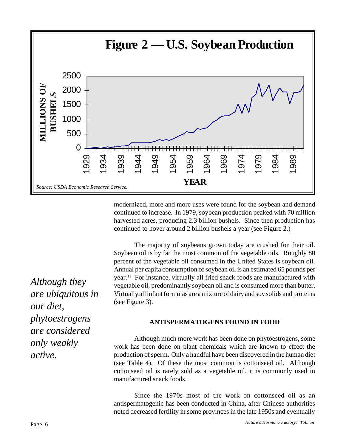

modernized, more and more uses were found for the soybean and demand continued to increase. In 1979, soybean production peaked with 70 million harvested acres, producing 2.3 billion bushels. Since then production has continued to hover around 2 billion bushels a year (see Figure 2.)

The majority of soybeans grown today are crushed for their oil. Soybean oil is by far the most common of the vegetable oils. Roughly 80 percent of the vegetable oil consumed in the United States is soybean oil. Annual per capita consumption of soybean oil is an estimated 65 pounds per year.11 For instance, virtually all fried snack foods are manufactured with vegetable oil, predominantly soybean oil and is consumed more than butter. Virtually all infant formulas are a mixture of dairy and soy solids and proteins (see Figure 3).

#### **ANTISPERMATOGENS FOUND IN FOOD**

Although much more work has been done on phytoestrogens, some work has been done on plant chemicals which are known to effect the production of sperm. Only a handful have been discovered in the human diet (see Table 4). Of these the most common is cottonseed oil. Although cottonseed oil is rarely sold as a vegetable oil, it is commonly used in manufactured snack foods.

Since the 1970s most of the work on cottonseed oil as an antispermatogenic has been conducted in China, after Chinese authorities noted decreased fertility in some provinces in the late 1950s and eventually

*Although they are ubiquitous in our diet, phytoestrogens are considered only weakly active.*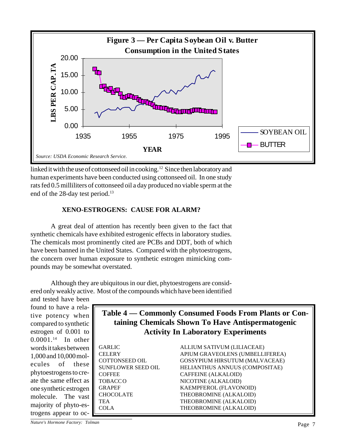

linked it with the use of cottonseed oil in cooking.<sup>12</sup> Since then laboratory and human experiments have been conducted using cottonseed oil. In one study rats fed 0.5 milliliters of cottonseed oil a day produced no viable sperm at the end of the 28-day test period.<sup>13</sup>

# **XENO-ESTROGENS: CAUSE FOR ALARM?**

A great deal of attention has recently been given to the fact that synthetic chemicals have exhibited estrogenic effects in laboratory studies. The chemicals most prominently cited are PCBs and DDT, both of which have been banned in the United States. Compared with the phytoestrogens, the concern over human exposure to synthetic estrogen mimicking compounds may be somewhat overstated.

Although they are ubiquitous in our diet, phytoestrogens are considered only weakly active. Most of the compounds which have been identified

and tested have been found to have a relative potency when compared to synthetic estrogen of 0.001 to 0.0001.14 In other words it takes between 1,000 and 10,000 molecules of these phytoestrogens to create the same effect as one synthetic estrogen molecule. The vast majority of phyto-estrogens appear to oc-

# **Table 4 — Commonly Consumed Foods From Plants or Containing Chemicals Shown To Have Antispermatogenic Activity In Laboratory Experiments**

GARLIC ALLIUM SATIVUM (LILIACEAE) CELERY APIUM GRAVEOLENS (UMBELLIFEREA) COTTONSEED OIL GOSSYPIUM HIRSUTUM (MALVACEAE) SUNFLOWER SEED OIL HELIANTHUS ANNUUS (COMPOSITAE) COFFEE CAFFEINE (ALKALOID) TOBACCO NICOTINE (ALKALOID) GRAPEF KAEMPFEROL (FLAVONOID) CHOCOLATE THEOBROMINE (ALKALOID) TEA THEOBROMINE (ALKALOID) COLA THEOBROMINE (ALKALOID)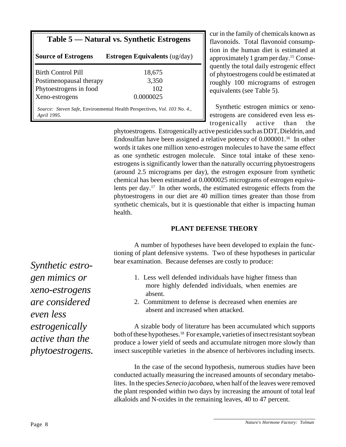| Table 5 — Natural vs. Synthetic Estrogens |                                                                          |  |  |  |
|-------------------------------------------|--------------------------------------------------------------------------|--|--|--|
| <b>Source of Estrogens</b>                | <b>Estrogen Equivalents</b> ( $\text{ug/day}$ )                          |  |  |  |
| <b>Birth Control Pill</b>                 | 18,675                                                                   |  |  |  |
| Postimenopausal therapy                   | 3,350                                                                    |  |  |  |
| Phytoestrogens in food                    | 102                                                                      |  |  |  |
| Xeno-estrogens                            | 0.0000025                                                                |  |  |  |
| April 1995.                               | Source: Steven Safe, Environmental Health Perspectives, Vol. 103 No. 4., |  |  |  |

cur in the family of chemicals known as flavonoids. Total flavonoid consumption in the human diet is estimated at approximately 1 gram per day.15 Consequently the total daily estrogenic effect of phytoestrogens could be estimated at roughly 100 micrograms of estrogen equivalents (see Table 5).

Synthetic estrogen mimics or xenoestrogens are considered even less estrogenically active than the

phytoestrogens. Estrogenically active pesticides such as DDT, Dieldrin, and Endosulfan have been assigned a relative potency of 0.000001.16 In other words it takes one million xeno-estrogen molecules to have the same effect as one synthetic estrogen molecule. Since total intake of these xenoestrogens is significantly lower than the naturally occurring phytoestrogens (around 2.5 micrograms per day), the estrogen exposure from synthetic chemical has been estimated at 0.0000025 micrograms of estrogen equivalents per day.17 In other words, the estimated estrogenic effects from the phytoestrogens in our diet are 40 million times greater than those from synthetic chemicals, but it is questionable that either is impacting human health.

#### **PLANT DEFENSE THEORY**

A number of hypotheses have been developed to explain the functioning of plant defensive systems. Two of these hypotheses in particular bear examination. Because defenses are costly to produce:

- 1. Less well defended individuals have higher fitness than more highly defended individuals, when enemies are absent.
- 2. Commitment to defense is decreased when enemies are absent and increased when attacked.

A sizable body of literature has been accumulated which supports both of these hypotheses.18 For example, varieties of insect resistant soybean produce a lower yield of seeds and accumulate nitrogen more slowly than insect susceptible varieties in the absence of herbivores including insects.

In the case of the second hypothesis, numerous studies have been conducted actually measuring the increased amounts of secondary metabolites. In the species *Senecio jacobaea*, when half of the leaves were removed the plant responded within two days by increasing the amount of total leaf alkaloids and N-oxides in the remaining leaves, 40 to 47 percent.

*Synthetic estrogen mimics or xeno-estrogens are considered even less estrogenically active than the phytoestrogens.*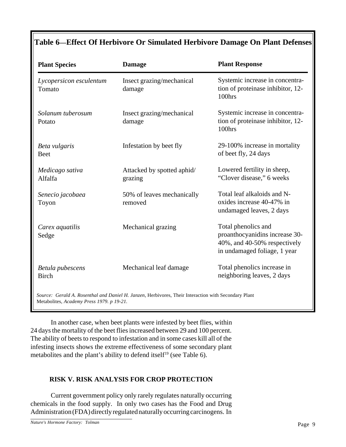# **Table 6—Effect Of Herbivore Or Simulated Herbivore Damage On Plant Defenses**

| <b>Plant Species</b>              | <b>Damage</b>                                                                                        | <b>Plant Response</b>                                                                                                 |
|-----------------------------------|------------------------------------------------------------------------------------------------------|-----------------------------------------------------------------------------------------------------------------------|
| Lycopersicon esculentum<br>Tomato | Insect grazing/mechanical<br>damage                                                                  | Systemic increase in concentra-<br>tion of proteinase inhibitor, 12-<br>100hrs                                        |
| Solanum tuberosum<br>Potato       | Insect grazing/mechanical<br>damage                                                                  | Systemic increase in concentra-<br>tion of proteinase inhibitor, 12-<br>100hrs                                        |
| Beta vulgaris<br><b>Beet</b>      | Infestation by beet fly                                                                              | 29-100% increase in mortality<br>of beet fly, 24 days                                                                 |
| Medicago sativa<br>Alfalfa        | Attacked by spotted aphid/<br>grazing                                                                | Lowered fertility in sheep,<br>"Clover disease," 6 weeks                                                              |
| Senecio jacobaea<br>Toyon         | 50% of leaves mechanically<br>removed                                                                | Total leaf alkaloids and N-<br>oxides increase 40-47% in<br>undamaged leaves, 2 days                                  |
| Carex aquatilis<br>Sedge          | Mechanical grazing                                                                                   | Total phenolics and<br>proanthocyanidins increase 30-<br>40%, and 40-50% respectively<br>in undamaged foliage, 1 year |
| Betula pubescens<br><b>Birch</b>  | Mechanical leaf damage                                                                               | Total phenolics increase in<br>neighboring leaves, 2 days                                                             |
|                                   | Source: Gerald A. Rosenthal and Daniel H. Janzen, Herbivores, Their Interaction with Secondary Plant |                                                                                                                       |

Metabolites, *Academy Press 1979. p 19-21.*

In another case, when beet plants were infested by beet flies, within 24 days the mortality of the beet flies increased between 29 and 100 percent. The ability of beets to respond to infestation and in some cases kill all of the infesting insects shows the extreme effectiveness of some secondary plant metabolites and the plant's ability to defend itself<sup>19</sup> (see Table 6).

# **RISK V. RISK ANALYSIS FOR CROP PROTECTION**

Current government policy only rarely regulates naturally occurring chemicals in the food supply. In only two cases has the Food and Drug Administration (FDA) directly regulated naturally occurring carcinogens. In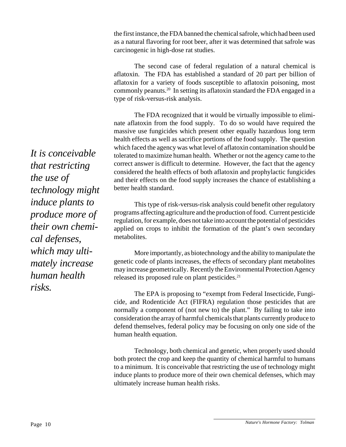the first instance, the FDA banned the chemical safrole, which had been used as a natural flavoring for root beer, after it was determined that safrole was carcinogenic in high-dose rat studies.

The second case of federal regulation of a natural chemical is aflatoxin. The FDA has established a standard of 20 part per billion of aflatoxin for a variety of foods susceptible to aflatoxin poisoning, most commonly peanuts.20 In setting its aflatoxin standard the FDA engaged in a type of risk-versus-risk analysis.

The FDA recognized that it would be virtually impossible to eliminate aflatoxin from the food supply. To do so would have required the massive use fungicides which present other equally hazardous long term health effects as well as sacrifice portions of the food supply. The question which faced the agency was what level of aflatoxin contamination should be tolerated to maximize human health. Whether or not the agency came to the correct answer is difficult to determine. However, the fact that the agency considered the health effects of both aflatoxin and prophylactic fungicides and their effects on the food supply increases the chance of establishing a better health standard.

This type of risk-versus-risk analysis could benefit other regulatory programs affecting agriculture and the production of food. Current pesticide regulation, for example, does not take into account the potential of pesticides applied on crops to inhibit the formation of the plant's own secondary metabolites.

More importantly, as biotechnology and the ability to manipulate the genetic code of plants increases, the effects of secondary plant metabolites may increase geometrically. Recently the Environmental Protection Agency released its proposed rule on plant pesticides.<sup>21</sup>

The EPA is proposing to "exempt from Federal Insecticide, Fungicide, and Rodenticide Act (FIFRA) regulation those pesticides that are normally a component of (not new to) the plant." By failing to take into consideration the array of harmful chemicals that plants currently produce to defend themselves, federal policy may be focusing on only one side of the human health equation.

Technology, both chemical and genetic, when properly used should both protect the crop and keep the quantity of chemical harmful to humans to a minimum. It is conceivable that restricting the use of technology might induce plants to produce more of their own chemical defenses, which may ultimately increase human health risks.

*It is conceivable that restricting the use of technology might induce plants to produce more of their own chemical defenses, which may ultimately increase human health risks.*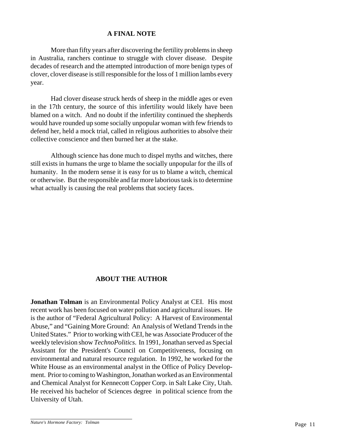### **A FINAL NOTE**

More than fifty years after discovering the fertility problems in sheep in Australia, ranchers continue to struggle with clover disease. Despite decades of research and the attempted introduction of more benign types of clover, clover disease is still responsible for the loss of 1 million lambs every year.

Had clover disease struck herds of sheep in the middle ages or even in the 17th century, the source of this infertility would likely have been blamed on a witch. And no doubt if the infertility continued the shepherds would have rounded up some socially unpopular woman with few friends to defend her, held a mock trial, called in religious authorities to absolve their collective conscience and then burned her at the stake.

Although science has done much to dispel myths and witches, there still exists in humans the urge to blame the socially unpopular for the ills of humanity. In the modern sense it is easy for us to blame a witch, chemical or otherwise. But the responsible and far more laborious task is to determine what actually is causing the real problems that society faces.

# **ABOUT THE AUTHOR**

**Jonathan Tolman** is an Environmental Policy Analyst at CEI. His most recent work has been focused on water pollution and agricultural issues. He is the author of "Federal Agricultural Policy: A Harvest of Environmental Abuse," and "Gaining More Ground: An Analysis of Wetland Trends in the United States." Prior to working with CEI, he was Associate Producer of the weekly television show *TechnoPolitics*. In 1991, Jonathan served as Special Assistant for the President's Council on Competitiveness, focusing on environmental and natural resource regulation. In 1992, he worked for the White House as an environmental analyst in the Office of Policy Development. Prior to coming to Washington, Jonathan worked as an Environmental and Chemical Analyst for Kennecott Copper Corp. in Salt Lake City, Utah. He received his bachelor of Sciences degree in political science from the University of Utah.